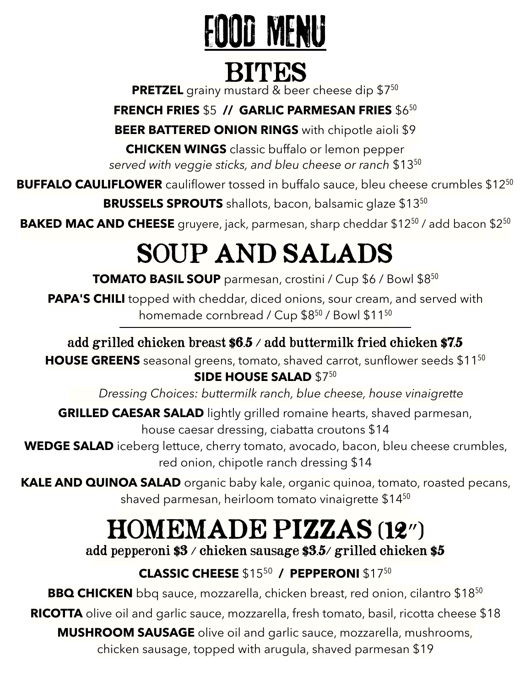# IOD MENU

### BITES

**PRETZEL** grainy mustard & beer cheese dip \$7<sup>50</sup>

**FRENCH FRIES** \$5 **// GARLIC PARMESAN FRIES** \$6<sup>50</sup>

**BEER BATTERED ONION RINGS** with chipotle aioli \$9

**CHICKEN WINGS** classic buffalo or lemon pepper *served with veggie sticks, and bleu cheese or ranch* \$13<sup>50</sup>

**BUFFALO CAULIFLOWER** cauliflower tossed in buffalo sauce, bleu cheese crumbles \$12<sup>50</sup> **BRUSSELS SPROUTS** shallots, bacon, balsamic glaze \$13<sup>50</sup>

BAKED MAC AND CHEESE gruyere, jack, parmesan, sharp cheddar \$12<sup>50</sup> / add bacon \$2<sup>50</sup>

# SOUP AND SALADS

**TOMATO BASIL SOUP** parmesan, crostini / Cup \$6 / Bowl \$8<sup>50</sup>

**PAPA'S CHILI** topped with cheddar, diced onions, sour cream, and served with homemade cornbread / Cup \$8<sup>50</sup> / Bowl \$11<sup>50</sup>

#### add grilled chicken breast \$6.5 / add buttermilk fried chicken \$7.5

**HOUSE GREENS** seasonal greens, tomato, shaved carrot, sunflower seeds \$11<sup>50</sup> **SIDE HOUSE SALAD \$750** 

*Dressing Choices: buttermilk ranch, blue cheese, house vinaigrette*

**GRILLED CAESAR SALAD** lightly grilled romaine hearts, shaved parmesan, house caesar dressing, ciabatta croutons \$14

**WEDGE SALAD** iceberg lettuce, cherry tomato, avocado, bacon, bleu cheese crumbles, red onion, chipotle ranch dressing \$14

**KALE AND QUINOA SALAD** organic baby kale, organic quinoa, tomato, roasted pecans, shaved parmesan, heirloom tomato vinaigrette \$14<sup>50</sup>

## HOMEMADE PIZZAS (12″)

add pepperoni \$3 / chicken sausage \$3.5/ grilled chicken \$5

### **CLASSIC CHEESE** \$1550 **/ PEPPERONI** \$17<sup>50</sup>

**BBQ CHICKEN** bbq sauce, mozzarella, chicken breast, red onion, cilantro \$18<sup>50</sup>

**RICOTTA** olive oil and garlic sauce, mozzarella, fresh tomato, basil, ricotta cheese \$18

**MUSHROOM SAUSAGE** olive oil and garlic sauce, mozzarella, mushrooms,

chicken sausage, topped with arugula, shaved parmesan \$19